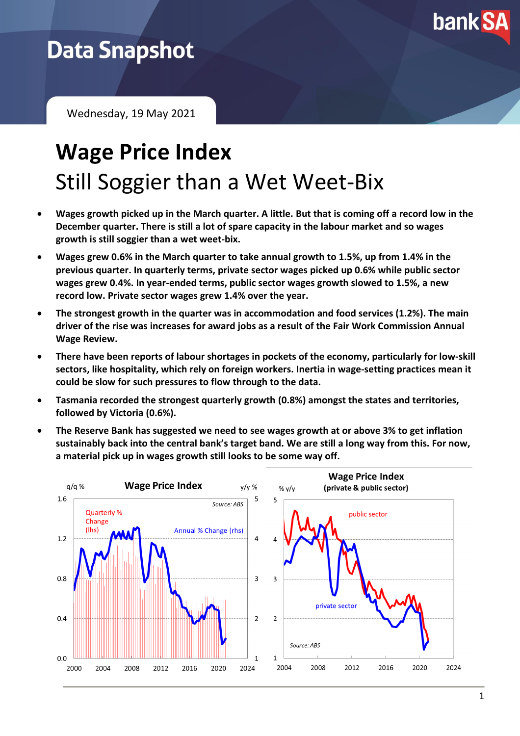

## **Data Snapshot**

Wednesday, 19 May 2021

# **Wage Price Index** Still Soggier than a Wet Weet-Bix

- **Wages growth picked up in the March quarter. A little. But that is coming off a record low in the December quarter. There is still a lot of spare capacity in the labour market and so wages growth is still soggier than a wet weet-bix.**
- **Wages grew 0.6% in the March quarter to take annual growth to 1.5%, up from 1.4% in the previous quarter. In quarterly terms, private sector wages picked up 0.6% while public sector wages grew 0.4%. In year-ended terms, public sector wages growth slowed to 1.5%, a new record low. Private sector wages grew 1.4% over the year.**
- **The strongest growth in the quarter was in accommodation and food services (1.2%). The main driver of the rise was increases for award jobs as a result of the Fair Work Commission Annual Wage Review.**
- **There have been reports of labour shortages in pockets of the economy, particularly for low-skill sectors, like hospitality, which rely on foreign workers. Inertia in wage-setting practices mean it could be slow for such pressures to flow through to the data.**
- **Tasmania recorded the strongest quarterly growth (0.8%) amongst the states and territories, followed by Victoria (0.6%).**
- **The Reserve Bank has suggested we need to see wages growth at or above 3% to get inflation sustainably back into the central bank's target band. We are still a long way from this. For now, a material pick up in wages growth still looks to be some way off.**

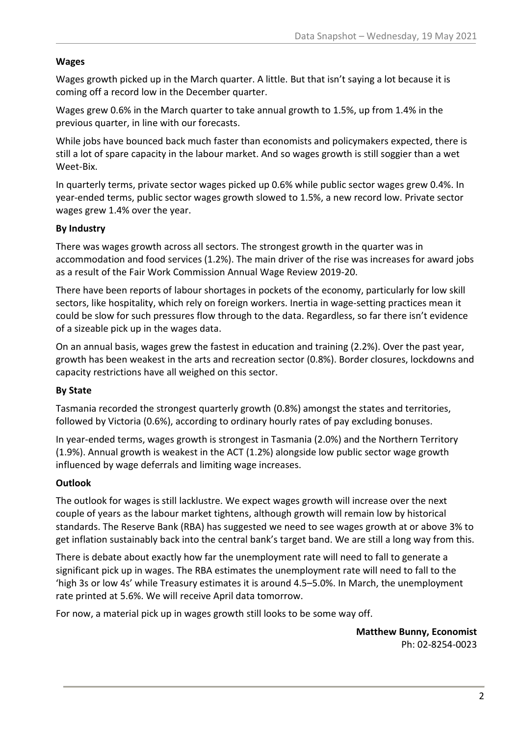#### **Wages**

Wages growth picked up in the March quarter. A little. But that isn't saying a lot because it is coming off a record low in the December quarter.

Wages grew 0.6% in the March quarter to take annual growth to 1.5%, up from 1.4% in the previous quarter, in line with our forecasts.

While jobs have bounced back much faster than economists and policymakers expected, there is still a lot of spare capacity in the labour market. And so wages growth is still soggier than a wet Weet-Bix.

In quarterly terms, private sector wages picked up 0.6% while public sector wages grew 0.4%. In year-ended terms, public sector wages growth slowed to 1.5%, a new record low. Private sector wages grew 1.4% over the year.

#### **By Industry**

There was wages growth across all sectors. The strongest growth in the quarter was in accommodation and food services (1.2%). The main driver of the rise was increases for award jobs as a result of the Fair Work Commission Annual Wage Review 2019-20.

There have been reports of labour shortages in pockets of the economy, particularly for low skill sectors, like hospitality, which rely on foreign workers. Inertia in wage-setting practices mean it could be slow for such pressures flow through to the data. Regardless, so far there isn't evidence of a sizeable pick up in the wages data.

On an annual basis, wages grew the fastest in education and training (2.2%). Over the past year, growth has been weakest in the arts and recreation sector (0.8%). Border closures, lockdowns and capacity restrictions have all weighed on this sector.

#### **By State**

Tasmania recorded the strongest quarterly growth (0.8%) amongst the states and territories, followed by Victoria (0.6%), according to ordinary hourly rates of pay excluding bonuses.

In year-ended terms, wages growth is strongest in Tasmania (2.0%) and the Northern Territory (1.9%). Annual growth is weakest in the ACT (1.2%) alongside low public sector wage growth influenced by wage deferrals and limiting wage increases.

#### **Outlook**

The outlook for wages is still lacklustre. We expect wages growth will increase over the next couple of years as the labour market tightens, although growth will remain low by historical standards. The Reserve Bank (RBA) has suggested we need to see wages growth at or above 3% to get inflation sustainably back into the central bank's target band. We are still a long way from this.

There is debate about exactly how far the unemployment rate will need to fall to generate a significant pick up in wages. The RBA estimates the unemployment rate will need to fall to the 'high 3s or low 4s' while Treasury estimates it is around 4.5–5.0%. In March, the unemployment rate printed at 5.6%. We will receive April data tomorrow.

For now, a material pick up in wages growth still looks to be some way off.

**Matthew Bunny, Economist** Ph: 02-8254-0023